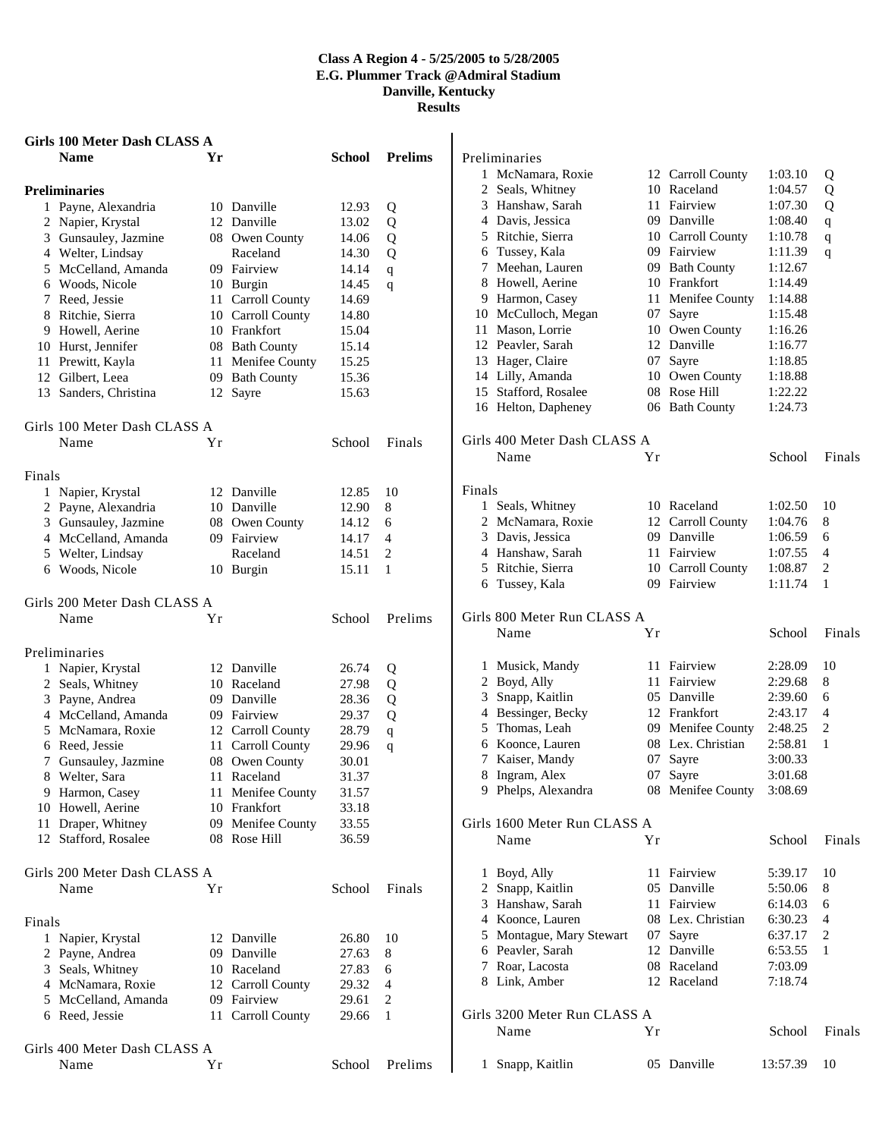|        | Girls 100 Meter Dash CLASS A |    |                       |        |                |              |                              |    |                   |          |                |
|--------|------------------------------|----|-----------------------|--------|----------------|--------------|------------------------------|----|-------------------|----------|----------------|
|        | Name                         | Yr |                       | School | <b>Prelims</b> |              | Preliminaries                |    |                   |          |                |
|        |                              |    |                       |        |                |              | 1 McNamara, Roxie            |    | 12 Carroll County | 1:03.10  | Q              |
|        | <b>Preliminaries</b>         |    |                       |        |                | 2            | Seals, Whitney               |    | 10 Raceland       | 1:04.57  | Q              |
|        | 1 Payne, Alexandria          |    | 10 Danville           | 12.93  | Q              |              | 3 Hanshaw, Sarah             |    | 11 Fairview       | 1:07.30  | Q              |
|        | 2 Napier, Krystal            |    | 12 Danville           | 13.02  | Q              |              | 4 Davis, Jessica             |    | 09 Danville       | 1:08.40  | $\mathbf{q}$   |
|        | 3 Gunsauley, Jazmine         |    | 08 Owen County        | 14.06  | Q              |              | 5 Ritchie, Sierra            |    | 10 Carroll County | 1:10.78  | q              |
|        | 4 Welter, Lindsay            |    | Raceland              | 14.30  | Q              |              | 6 Tussey, Kala               |    | 09 Fairview       | 1:11.39  | q              |
|        | 5 McCelland, Amanda          |    | 09 Fairview           | 14.14  | q              |              | 7 Meehan, Lauren             |    | 09 Bath County    | 1:12.67  |                |
|        | 6 Woods, Nicole              |    | 10 Burgin             | 14.45  | q              | 8            | Howell, Aerine               |    | 10 Frankfort      | 1:14.49  |                |
|        | 7 Reed, Jessie               |    | 11 Carroll County     | 14.69  |                |              | 9 Harmon, Casey              | 11 | Menifee County    | 1:14.88  |                |
|        | 8 Ritchie, Sierra            |    | 10 Carroll County     | 14.80  |                |              | 10 McCulloch, Megan          |    | 07 Sayre          | 1:15.48  |                |
|        | 9 Howell, Aerine             |    | 10 Frankfort          | 15.04  |                |              | 11 Mason, Lorrie             |    | 10 Owen County    | 1:16.26  |                |
|        | 10 Hurst, Jennifer           |    | 08 Bath County        | 15.14  |                |              | 12 Peavler, Sarah            |    | 12 Danville       | 1:16.77  |                |
|        | 11 Prewitt, Kayla            | 11 | Menifee County        | 15.25  |                |              | 13 Hager, Claire             |    | 07 Sayre          | 1:18.85  |                |
|        | 12 Gilbert, Leea             |    | 09 Bath County        | 15.36  |                |              | 14 Lilly, Amanda             |    | 10 Owen County    | 1:18.88  |                |
|        | 13 Sanders, Christina        |    | 12 Sayre              | 15.63  |                | 15           | Stafford, Rosalee            |    | 08 Rose Hill      | 1:22.22  |                |
|        |                              |    |                       |        |                |              | 16 Helton, Dapheney          |    | 06 Bath County    | 1:24.73  |                |
|        | Girls 100 Meter Dash CLASS A |    |                       |        |                |              |                              |    |                   |          |                |
|        | Name                         | Yr |                       | School | Finals         |              | Girls 400 Meter Dash CLASS A |    |                   |          |                |
|        |                              |    |                       |        |                |              | Name                         | Yr |                   | School   | Finals         |
| Finals |                              |    |                       |        |                |              |                              |    |                   |          |                |
|        | 1 Napier, Krystal            |    | 12 Danville           | 12.85  | 10             | Finals       |                              |    |                   |          |                |
|        | 2 Payne, Alexandria          |    | 10 Danville           | 12.90  | 8              | $\mathbf{1}$ | Seals, Whitney               |    | 10 Raceland       | 1:02.50  | -10            |
|        | 3 Gunsauley, Jazmine         |    | 08 Owen County        | 14.12  | 6              |              | 2 McNamara, Roxie            |    | 12 Carroll County | 1:04.76  | 8              |
|        | 4 McCelland, Amanda          |    | 09 Fairview           | 14.17  | $\overline{4}$ |              | 3 Davis, Jessica             |    | 09 Danville       | 1:06.59  | 6              |
|        | 5 Welter, Lindsay            |    | Raceland              | 14.51  | 2              |              | 4 Hanshaw, Sarah             |    | 11 Fairview       | 1:07.55  | $\overline{4}$ |
|        | 6 Woods, Nicole              |    | 10 Burgin             | 15.11  | -1             |              | 5 Ritchie, Sierra            |    | 10 Carroll County | 1:08.87  | 2              |
|        |                              |    |                       |        |                |              | 6 Tussey, Kala               |    | 09 Fairview       | 1:11.74  | $\overline{1}$ |
|        | Girls 200 Meter Dash CLASS A |    |                       |        |                |              |                              |    |                   |          |                |
|        | Name                         | Yr |                       | School | Prelims        |              | Girls 800 Meter Run CLASS A  |    |                   |          |                |
|        |                              |    |                       |        |                |              | Name                         | Yr |                   | School   | Finals         |
|        | Preliminaries                |    |                       |        |                |              |                              |    |                   |          |                |
|        | 1 Napier, Krystal            |    | 12 Danville           | 26.74  | Q              |              | 1 Musick, Mandy              |    | 11 Fairview       | 2:28.09  | 10             |
|        | 2 Seals, Whitney             |    | 10 Raceland           | 27.98  | Q              | 2            | Boyd, Ally                   |    | 11 Fairview       | 2:29.68  | 8              |
|        | 3 Payne, Andrea              |    | 09 Danville           | 28.36  | Q              |              | 3 Snapp, Kaitlin             |    | 05 Danville       | 2:39.60  | 6              |
|        | 4 McCelland, Amanda          |    | 09 Fairview           | 29.37  | Q              |              | 4 Bessinger, Becky           |    | 12 Frankfort      | 2:43.17  | $\overline{4}$ |
|        | 5 McNamara, Roxie            | 12 | <b>Carroll County</b> | 28.79  | q              | 5            | Thomas, Leah                 |    | 09 Menifee County | 2:48.25  | 2              |
|        | 6 Reed, Jessie               | 11 | <b>Carroll County</b> | 29.96  | q              | 6            | Koonce, Lauren               |    | 08 Lex. Christian | 2:58.81  | 1              |
|        | 7 Gunsauley, Jazmine         |    | 08 Owen County        | 30.01  |                |              | 7 Kaiser, Mandy              |    | 07 Sayre          | 3:00.33  |                |
|        | 8 Welter, Sara               |    | 11 Raceland           | 31.37  |                |              | 8 Ingram, Alex               |    | 07 Sayre          | 3:01.68  |                |
|        | 9 Harmon, Casey              |    | 11 Menifee County     | 31.57  |                |              | 9 Phelps, Alexandra          |    | 08 Menifee County | 3:08.69  |                |
|        | 10 Howell, Aerine            |    | 10 Frankfort          | 33.18  |                |              |                              |    |                   |          |                |
|        | 11 Draper, Whitney           |    | 09 Menifee County     | 33.55  |                |              | Girls 1600 Meter Run CLASS A |    |                   |          |                |
|        | 12 Stafford, Rosalee         |    | 08 Rose Hill          | 36.59  |                |              | Name                         | Yr |                   | School   | Finals         |
|        |                              |    |                       |        |                |              |                              |    |                   |          |                |
|        | Girls 200 Meter Dash CLASS A |    |                       |        |                |              | 1 Boyd, Ally                 |    | 11 Fairview       | 5:39.17  | 10             |
|        | Name                         | Yr |                       | School | Finals         |              | 2 Snapp, Kaitlin             |    | 05 Danville       | 5:50.06  | 8              |
|        |                              |    |                       |        |                |              | 3 Hanshaw, Sarah             |    | 11 Fairview       | 6:14.03  | 6              |
| Finals |                              |    |                       |        |                |              | 4 Koonce, Lauren             |    | 08 Lex. Christian | 6:30.23  | 4              |
|        | 1 Napier, Krystal            |    | 12 Danville           | 26.80  | 10             |              | 5 Montague, Mary Stewart     |    | 07 Sayre          | 6:37.17  | 2              |
|        | 2 Payne, Andrea              |    | 09 Danville           | 27.63  | 8              |              | 6 Peavler, Sarah             |    | 12 Danville       | 6:53.55  | -1             |
|        | 3 Seals, Whitney             |    | 10 Raceland           | 27.83  | 6              |              | 7 Roar, Lacosta              |    | 08 Raceland       | 7:03.09  |                |
|        | 4 McNamara, Roxie            |    | 12 Carroll County     | 29.32  | $\overline{4}$ |              | 8 Link, Amber                |    | 12 Raceland       | 7:18.74  |                |
|        | 5 McCelland, Amanda          |    | 09 Fairview           | 29.61  | 2              |              |                              |    |                   |          |                |
|        | 6 Reed, Jessie               |    | 11 Carroll County     | 29.66  | - 1            |              | Girls 3200 Meter Run CLASS A |    |                   |          |                |
|        |                              |    |                       |        |                |              | Name                         | Yr |                   | School   | Finals         |
|        | Girls 400 Meter Dash CLASS A |    |                       |        |                |              |                              |    |                   |          |                |
|        | Name                         | Yr |                       | School | Prelims        |              | 1 Snapp, Kaitlin             |    | 05 Danville       | 13:57.39 | -10            |
|        |                              |    |                       |        |                |              |                              |    |                   |          |                |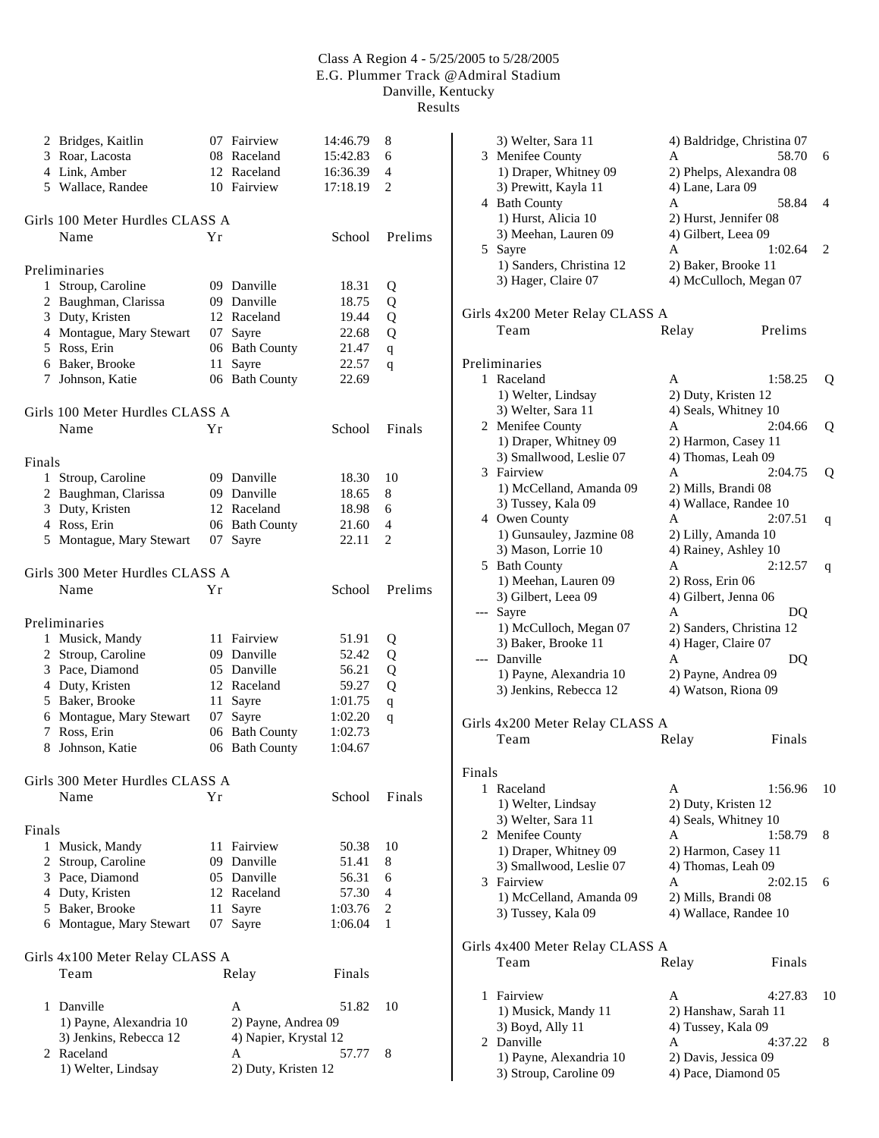|        | 2 Bridges, Kaitlin              |    | 07 Fairview           | 14:46.79 | 8              |
|--------|---------------------------------|----|-----------------------|----------|----------------|
|        | 3 Roar, Lacosta                 |    | 08 Raceland           | 15:42.83 | 6              |
|        | 4 Link, Amber                   |    | 12 Raceland           | 16:36.39 | 4              |
|        | 5 Wallace, Randee               |    | 10 Fairview           | 17:18.19 | 2              |
|        |                                 |    |                       |          |                |
|        | Girls 100 Meter Hurdles CLASS A |    |                       |          |                |
|        | Name                            | Υr |                       | School   | Prelims        |
|        |                                 |    |                       |          |                |
|        | Preliminaries                   |    |                       |          |                |
|        | 1 Stroup, Caroline              |    | 09 Danville           | 18.31    | Q              |
|        | 2 Baughman, Clarissa            |    | 09 Danville           | 18.75    | Q              |
|        | 3 Duty, Kristen                 |    | 12 Raceland           | 19.44    | Q              |
|        | 4 Montague, Mary Stewart        |    | 07 Sayre              | 22.68    | Q              |
|        | 5 Ross, Erin                    |    | 06 Bath County        | 21.47    | $\mathbf q$    |
|        | 6 Baker, Brooke                 | 11 | Sayre                 | 22.57    | q              |
|        | 7 Johnson, Katie                |    | 06 Bath County        | 22.69    |                |
|        |                                 |    |                       |          |                |
|        | Girls 100 Meter Hurdles CLASS A |    |                       |          |                |
|        | Name                            | Υr |                       | School   | Finals         |
| Finals |                                 |    |                       |          |                |
|        | 1 Stroup, Caroline              |    | 09 Danville           | 18.30    | 10             |
|        | 2 Baughman, Clarissa            |    | 09 Danville           | 18.65    | 8              |
|        | 3 Duty, Kristen                 |    | 12 Raceland           | 18.98    | 6              |
|        | 4 Ross, Erin                    |    | 06 Bath County        | 21.60    | 4              |
|        | 5 Montague, Mary Stewart        | 07 | Sayre                 | 22.11    | 2              |
|        |                                 |    |                       |          |                |
|        | Girls 300 Meter Hurdles CLASS A |    |                       |          |                |
|        | Name                            | Υr |                       | School   | Prelims        |
|        | Preliminaries                   |    |                       |          |                |
|        |                                 |    | 11 Fairview           | 51.91    |                |
|        | 1 Musick, Mandy                 |    |                       |          | Q              |
|        | 2 Stroup, Caroline              |    | 09 Danville           | 52.42    | Q              |
|        | 3 Pace, Diamond                 |    | 05 Danville           | 56.21    | Q              |
|        | 4 Duty, Kristen                 |    | 12 Raceland           | 59.27    | Q              |
|        | 5 Baker, Brooke                 |    | 11 Sayre              | 1:01.75  | $\mathbf q$    |
|        | 6 Montague, Mary Stewart        |    | 07 Sayre              | 1:02.20  | q              |
|        | 7 Ross, Erin                    |    | 06 Bath County        | 1:02.73  |                |
|        | 8 Johnson, Katie                |    | 06 Bath County        | 1:04.67  |                |
|        | Girls 300 Meter Hurdles CLASS A |    |                       |          |                |
|        | Name                            | Υr |                       | School   | Finals         |
|        |                                 |    |                       |          |                |
| Finals |                                 |    |                       |          |                |
|        | 1 Musick, Mandy                 |    | 11 Fairview           | 50.38    | 10             |
|        | 2 Stroup, Caroline              |    | 09 Danville           | 51.41    | 8              |
|        | 3 Pace, Diamond                 |    | 05 Danville           | 56.31    | 6              |
|        | 4 Duty, Kristen                 |    | 12 Raceland           | 57.30    | 4              |
|        | 5 Baker, Brooke                 | 11 | Sayre                 | 1:03.76  | $\overline{c}$ |
|        | 6 Montague, Mary Stewart        |    | 07 Sayre              | 1:06.04  | 1              |
|        |                                 |    |                       |          |                |
|        | Girls 4x100 Meter Relay CLASS A |    |                       |          |                |
|        | Team                            |    | Relay                 | Finals   |                |
|        | 1 Danville                      |    | А                     | 51.82    | 10             |
|        | 1) Payne, Alexandria 10         |    | 2) Payne, Andrea 09   |          |                |
|        |                                 |    |                       |          |                |
|        | 3) Jenkins, Rebecca 12          |    | 4) Napier, Krystal 12 |          |                |
|        | 2 Raceland                      |    | Α                     | 57.77    | 8              |
|        | 1) Welter, Lindsay              |    | 2) Duty, Kristen 12   |          |                |

|        | 3) Welter, Sara 11                                | 4) Baldridge, Christina 07                  |    |
|--------|---------------------------------------------------|---------------------------------------------|----|
|        | 3 Menifee County                                  | A<br>58.70                                  | 6  |
|        | 1) Draper, Whitney 09                             | 2) Phelps, Alexandra 08                     |    |
|        | 3) Prewitt, Kayla 11                              | 4) Lane, Lara 09                            |    |
|        | 4 Bath County                                     | 58.84<br>A                                  | 4  |
|        | 1) Hurst, Alicia 10                               | 2) Hurst, Jennifer 08                       |    |
|        | 3) Meehan, Lauren 09                              | 4) Gilbert, Leea 09                         |    |
|        | 5 Sayre                                           | A<br>1:02.64                                | 2  |
|        | 1) Sanders, Christina 12                          | 2) Baker, Brooke 11                         |    |
|        | 3) Hager, Claire 07                               | 4) McCulloch, Megan 07                      |    |
|        | Girls 4x200 Meter Relay CLASS A                   |                                             |    |
|        | Team                                              | Relay<br>Prelims                            |    |
|        |                                                   |                                             |    |
|        | Preliminaries                                     |                                             |    |
|        | 1 Raceland                                        | A<br>1:58.25                                | Q  |
|        | 1) Welter, Lindsay                                | 2) Duty, Kristen 12                         |    |
|        | 3) Welter, Sara 11                                | 4) Seals, Whitney 10                        |    |
|        | 2 Menifee County                                  | A<br>2:04.66                                | Q  |
|        | 1) Draper, Whitney 09                             | 2) Harmon, Casey 11                         |    |
|        | 3) Smallwood, Leslie 07                           | 4) Thomas, Leah 09                          |    |
|        | 3 Fairview                                        | A<br>2:04.75                                | Q  |
|        | 1) McCelland, Amanda 09                           | 2) Mills, Brandi 08                         |    |
|        | 3) Tussey, Kala 09                                | 4) Wallace, Randee 10                       |    |
|        | 4 Owen County                                     | A<br>2:07.51                                | q  |
|        | 1) Gunsauley, Jazmine 08                          | 2) Lilly, Amanda 10                         |    |
|        | 3) Mason, Lorrie 10                               | 4) Rainey, Ashley 10                        |    |
|        | 5 Bath County                                     | 2:12.57<br>A                                | q  |
|        | 1) Meehan, Lauren 09                              | 2) Ross, Erin 06                            |    |
|        | 3) Gilbert, Leea 09                               | 4) Gilbert, Jenna 06                        |    |
|        | --- Sayre                                         | A<br>DQ                                     |    |
|        | 1) McCulloch, Megan 07                            | 2) Sanders, Christina 12                    |    |
|        | 3) Baker, Brooke 11                               | 4) Hager, Claire 07                         |    |
|        | --- Danville                                      | A<br>DQ                                     |    |
|        | 1) Payne, Alexandria 10                           | 2) Payne, Andrea 09                         |    |
|        |                                                   |                                             |    |
|        | 3) Jenkins, Rebecca 12                            | 4) Watson, Riona 09                         |    |
|        |                                                   |                                             |    |
|        | Girls 4x200 Meter Relay CLASS A                   |                                             |    |
|        | Team                                              | Relay<br>Finals                             |    |
|        |                                                   |                                             |    |
| Finals |                                                   |                                             |    |
|        | 1 Raceland                                        | Α<br>1:56.96                                | 10 |
|        | 1) Welter, Lindsay                                | 2) Duty, Kristen 12                         |    |
|        | 3) Welter, Sara 11                                | 4) Seals, Whitney 10                        |    |
|        | 2 Menifee County                                  | Α<br>1:58.79                                | 8  |
|        | 1) Draper, Whitney 09                             | 2) Harmon, Casey 11                         |    |
|        | 3) Smallwood, Leslie 07                           | 4) Thomas, Leah 09                          |    |
|        | 3 Fairview                                        | 2:02.15<br>А                                | 6  |
|        | 1) McCelland, Amanda 09                           | 2) Mills, Brandi 08                         |    |
|        | 3) Tussey, Kala 09                                | 4) Wallace, Randee 10                       |    |
|        |                                                   |                                             |    |
|        | Girls 4x400 Meter Relay CLASS A<br>Team           | Relay<br>Finals                             |    |
|        |                                                   |                                             |    |
|        | 1 Fairview                                        | А<br>4:27.83                                | 10 |
|        | 1) Musick, Mandy 11                               | 2) Hanshaw, Sarah 11                        |    |
|        | 3) Boyd, Ally 11                                  | 4) Tussey, Kala 09                          |    |
|        | 2 Danville                                        | A<br>4:37.22                                | 8  |
|        | 1) Payne, Alexandria 10<br>3) Stroup, Caroline 09 | 2) Davis, Jessica 09<br>4) Pace, Diamond 05 |    |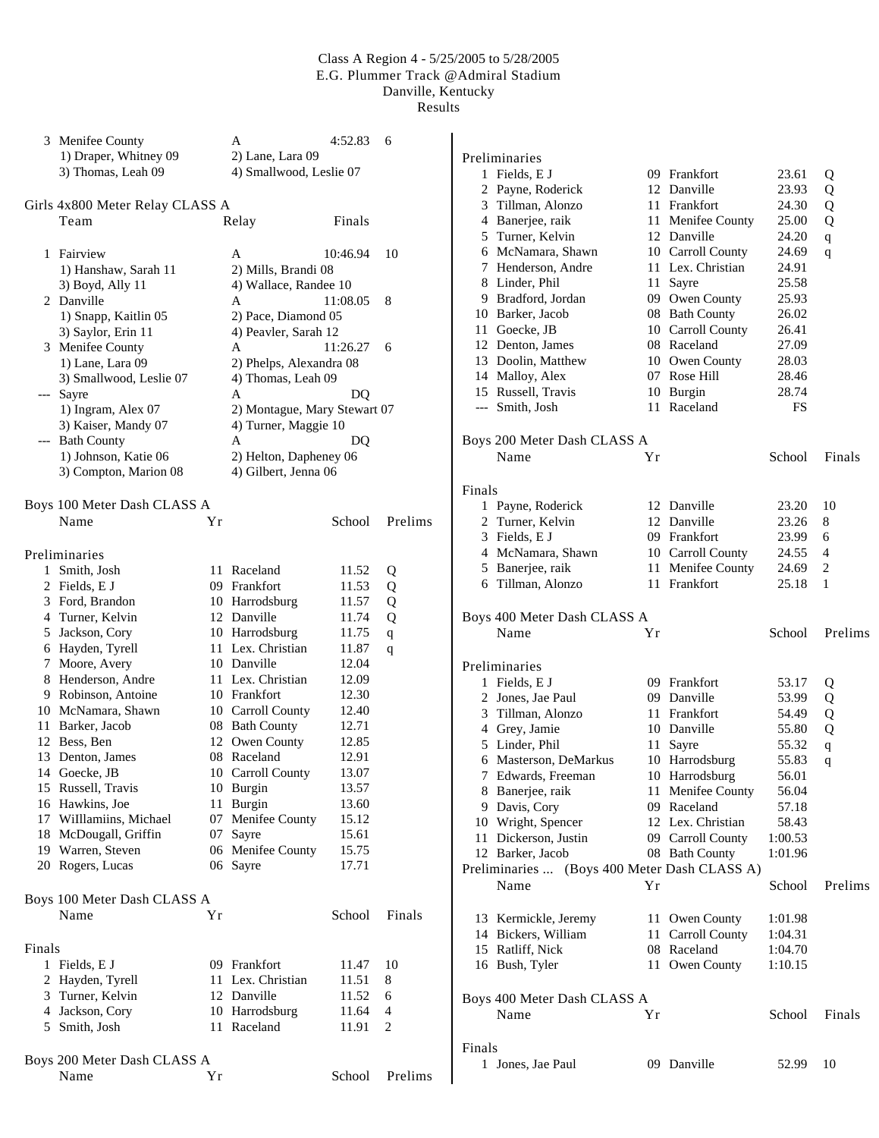|        | 3 Menifee County                    |    | A                                   | 4:52.83        | 6           |                               |
|--------|-------------------------------------|----|-------------------------------------|----------------|-------------|-------------------------------|
|        | 1) Draper, Whitney 09               |    | 2) Lane, Lara 09                    |                |             | Preliminaries                 |
|        | 3) Thomas, Leah 09                  |    | 4) Smallwood, Leslie 07             |                |             | 1 Fields, E                   |
|        |                                     |    |                                     |                |             | 2 Payne, Ro                   |
|        | Girls 4x800 Meter Relay CLASS A     |    |                                     |                |             | 3 Tillman,                    |
|        | Team                                |    | Relay                               | Finals         |             | 4 Banerjee,                   |
|        |                                     |    |                                     |                |             | 5 Turner, K                   |
|        | 1 Fairview                          |    | A                                   | 10:46.94       | 10          | 6 McNama                      |
|        | 1) Hanshaw, Sarah 11                |    | 2) Mills, Brandi 08                 |                |             | Henderso<br>7                 |
|        | 3) Boyd, Ally 11                    |    | 4) Wallace, Randee 10               |                |             | 8 Linder, P.                  |
|        | 2 Danville                          |    | A                                   | 11:08.05       | 8           | 9 Bradford,                   |
|        | 1) Snapp, Kaitlin 05                |    | 2) Pace, Diamond 05                 |                |             | 10<br>Barker, Ja              |
|        | 3) Saylor, Erin 11                  |    | 4) Peavler, Sarah 12                |                |             | Goecke, J<br>11               |
|        | 3 Menifee County                    |    | A                                   | 11:26.27       | 6           | 12 Denton, J                  |
|        | 1) Lane, Lara 09                    |    | 2) Phelps, Alexandra 08             |                |             | 13 Doolin, M                  |
|        | 3) Smallwood, Leslie 07             |    | 4) Thomas, Leah 09                  |                |             | 14 Malloy, A                  |
|        | --- Sayre                           |    | A                                   | DQ             |             | 15 Russell, 7                 |
|        | 1) Ingram, Alex 07                  |    | 2) Montague, Mary Stewart 07        |                |             | Smith, Jo<br>---              |
|        | 3) Kaiser, Mandy 07                 |    | 4) Turner, Maggie 10                |                |             |                               |
|        | --- Bath County                     |    | А                                   | DQ             |             | Boys 200 Mete                 |
|        | 1) Johnson, Katie 06                |    | 2) Helton, Dapheney 06              |                |             | Name                          |
|        | 3) Compton, Marion 08               |    | 4) Gilbert, Jenna 06                |                |             |                               |
|        |                                     |    |                                     |                |             | Finals                        |
|        | Boys 100 Meter Dash CLASS A         |    |                                     |                |             | 1 Payne, Ro                   |
|        | Name                                | Υr |                                     | School         | Prelims     | 2 Turner, K                   |
|        |                                     |    |                                     |                |             | 3 Fields, E                   |
|        | Preliminaries                       |    |                                     |                |             | 4 McNama                      |
|        |                                     |    | 11 Raceland                         |                |             | 5 Banerjee,                   |
|        | 1 Smith, Josh                       |    | 09 Frankfort                        | 11.52          | Q           | 6 Tillman,                    |
|        | 2 Fields, E J                       |    |                                     | 11.53          | Q           |                               |
|        | 3 Ford, Brandon                     |    | 10 Harrodsburg<br>12 Danville       | 11.57          | Q           | Boys 400 Mete                 |
|        | 4 Turner, Kelvin<br>5 Jackson, Cory |    |                                     | 11.74<br>11.75 | Q           | Name                          |
|        | 6 Hayden, Tyrell                    |    | 10 Harrodsburg<br>11 Lex. Christian | 11.87          | $\mathbf q$ |                               |
|        | 7 Moore, Avery                      |    | 10 Danville                         | 12.04          | q           |                               |
|        | 8 Henderson, Andre                  |    | 11 Lex. Christian                   | 12.09          |             | Preliminaries                 |
|        | 9 Robinson, Antoine                 |    | 10 Frankfort                        | 12.30          |             | 1 Fields, E                   |
|        | 10 McNamara, Shawn                  |    | 10 Carroll County                   | 12.40          |             | 2 Jones, Jae                  |
|        | 11 Barker, Jacob                    |    | 08 Bath County                      | 12.71          |             | Tillman,<br>3                 |
|        | 12 Bess, Ben                        |    | 12 Owen County                      | 12.85          |             | 4<br>Grey, Jan                |
|        | 13 Denton, James                    |    | 08 Raceland                         | 12.91          |             | 5 Linder, P.                  |
|        | 14 Goecke, JB                       |    | 10 Carroll County                   | 13.07          |             | 6 Masterso                    |
|        | 15 Russell, Travis                  |    | 10 Burgin                           | 13.57          |             | 7 Edwards,                    |
|        | 16 Hawkins, Joe                     |    | 11 Burgin                           | 13.60          |             | 8 Banerjee,                   |
|        | 17 Willlamiins, Michael             |    | 07 Menifee County                   | 15.12          |             | 9 Davis, Co                   |
|        | 18 McDougall, Griffin               |    | 07 Sayre                            | 15.61          |             | 10 Wright, S                  |
|        | 19 Warren, Steven                   |    | 06 Menifee County                   | 15.75          |             | 11 Dickersor<br>12 Barker, Ja |
|        | 20 Rogers, Lucas                    |    | 06 Sayre                            | 17.71          |             |                               |
|        |                                     |    |                                     |                |             | Preliminaries.                |
|        | Boys 100 Meter Dash CLASS A         |    |                                     |                |             | Name                          |
|        | Name                                |    |                                     | School         |             |                               |
|        |                                     | Υr |                                     |                | Finals      | 13 Kermickl                   |
|        |                                     |    |                                     |                |             | 14 Bickers, '                 |
| Finals |                                     |    |                                     |                |             | 15 Ratliff, N                 |
|        | 1 Fields, E J                       |    | 09 Frankfort                        | 11.47          | 10          | 16 Bush, Tyl                  |
|        | 2 Hayden, Tyrell                    |    | 11 Lex. Christian                   | 11.51          | 8           |                               |
|        | 3 Turner, Kelvin                    |    | 12 Danville                         | 11.52          | 6           | Boys 400 Mete                 |
|        | 4 Jackson, Cory                     |    | 10 Harrodsburg                      | 11.64          | 4           | Name                          |
|        | 5 Smith, Josh                       |    | 11 Raceland                         | 11.91          | 2           |                               |
|        |                                     |    |                                     |                |             | Finals                        |
|        | Boys 200 Meter Dash CLASS A         |    |                                     |                |             | 1 Jones, Jae                  |
|        | Name                                | Yr |                                     | School         | Prelims     |                               |

|        | гтенницанел                                  |    |                   |         |                |
|--------|----------------------------------------------|----|-------------------|---------|----------------|
| 1      | Fields, E J                                  |    | 09 Frankfort      | 23.61   | Q              |
|        | 2 Payne, Roderick                            |    | 12 Danville       | 23.93   | Q              |
|        | 3 Tillman, Alonzo                            |    | 11 Frankfort      | 24.30   | Q              |
|        | 4 Banerjee, raik                             |    | 11 Menifee County | 25.00   | Q              |
|        | 5 Turner, Kelvin                             |    | 12 Danville       | 24.20   | $\mathbf q$    |
|        | 6 McNamara, Shawn                            |    | 10 Carroll County | 24.69   | $\mathsf{q}$   |
|        | 7 Henderson, Andre                           |    | 11 Lex. Christian | 24.91   |                |
|        | 8 Linder, Phil                               | 11 | Sayre             | 25.58   |                |
|        | 9 Bradford, Jordan                           |    | 09 Owen County    | 25.93   |                |
|        | 10 Barker, Jacob                             |    | 08 Bath County    | 26.02   |                |
|        | 11 Goecke, JB                                |    | 10 Carroll County | 26.41   |                |
|        | 12 Denton, James                             |    | 08 Raceland       | 27.09   |                |
|        | 13 Doolin, Matthew                           |    | 10 Owen County    | 28.03   |                |
|        | 14 Malloy, Alex                              |    | 07 Rose Hill      | 28.46   |                |
|        | 15 Russell, Travis                           |    | 10 Burgin         | 28.74   |                |
|        | --- Smith, Josh                              |    | 11 Raceland       | FS      |                |
|        | Boys 200 Meter Dash CLASS A                  |    |                   |         |                |
|        | Name                                         | Yr |                   | School  | Finals         |
| Finals |                                              |    |                   |         |                |
|        | 1 Payne, Roderick                            |    | 12 Danville       | 23.20   | 10             |
|        | 2 Turner, Kelvin                             |    | 12 Danville       | 23.26   | 8              |
|        | 3 Fields, E J                                |    | 09 Frankfort      | 23.99   | 6              |
|        | 4 McNamara, Shawn                            |    | 10 Carroll County | 24.55   | $\overline{4}$ |
|        | 5 Banerjee, raik                             | 11 | Menifee County    | 24.69   | $\overline{c}$ |
|        | 6 Tillman, Alonzo                            | 11 | Frankfort         | 25.18   | 1              |
|        | Boys 400 Meter Dash CLASS A                  |    |                   |         |                |
|        | Name                                         | Yr |                   | School  | Prelims        |
|        | Preliminaries                                |    |                   |         |                |
|        | 1 Fields, E J                                |    | 09 Frankfort      | 53.17   | Q              |
|        | 2 Jones, Jae Paul                            |    | 09 Danville       | 53.99   | Q              |
|        | 3 Tillman, Alonzo                            |    | 11 Frankfort      | 54.49   | Q              |
|        | 4 Grey, Jamie                                |    | 10 Danville       | 55.80   | Q              |
|        | 5 Linder, Phil                               | 11 | Sayre             | 55.32   | $\mathbf q$    |
|        | 6 Masterson, DeMarkus                        |    | 10 Harrodsburg    | 55.83   | $\mathsf{q}$   |
| 7      | Edwards, Freeman                             |    | 10 Harrodsburg    | 56.01   |                |
|        | 8 Banerjee, raik                             |    | 11 Menifee County | 56.04   |                |
|        | 9 Davis, Cory                                |    | 09 Raceland       | 57.18   |                |
|        | 10 Wright, Spencer                           |    | 12 Lex. Christian | 58.43   |                |
| 11     | Dickerson, Justin                            |    | 09 Carroll County | 1:00.53 |                |
|        | 12 Barker, Jacob                             |    | 08 Bath County    | 1:01.96 |                |
|        | Preliminaries  (Boys 400 Meter Dash CLASS A) |    |                   |         |                |
|        | Name                                         | Υr |                   | School  | Prelims        |
|        | 13 Kermickle, Jeremy                         |    | 11 Owen County    | 1:01.98 |                |
|        | 14 Bickers, William                          |    | 11 Carroll County | 1:04.31 |                |
|        |                                              |    | 08 Raceland       |         |                |
|        | 15 Ratliff, Nick                             |    |                   | 1:04.70 |                |
|        | 16 Bush, Tyler                               |    | 11 Owen County    | 1:10.15 |                |
|        | Boys 400 Meter Dash CLASS A                  |    |                   |         |                |
|        | Name                                         | Υr |                   | School  | Finals         |
| Finals |                                              |    |                   |         |                |
|        | 1 Jones, Jae Paul                            |    | 09 Danville       | 52.99   | 10             |
|        |                                              |    |                   |         |                |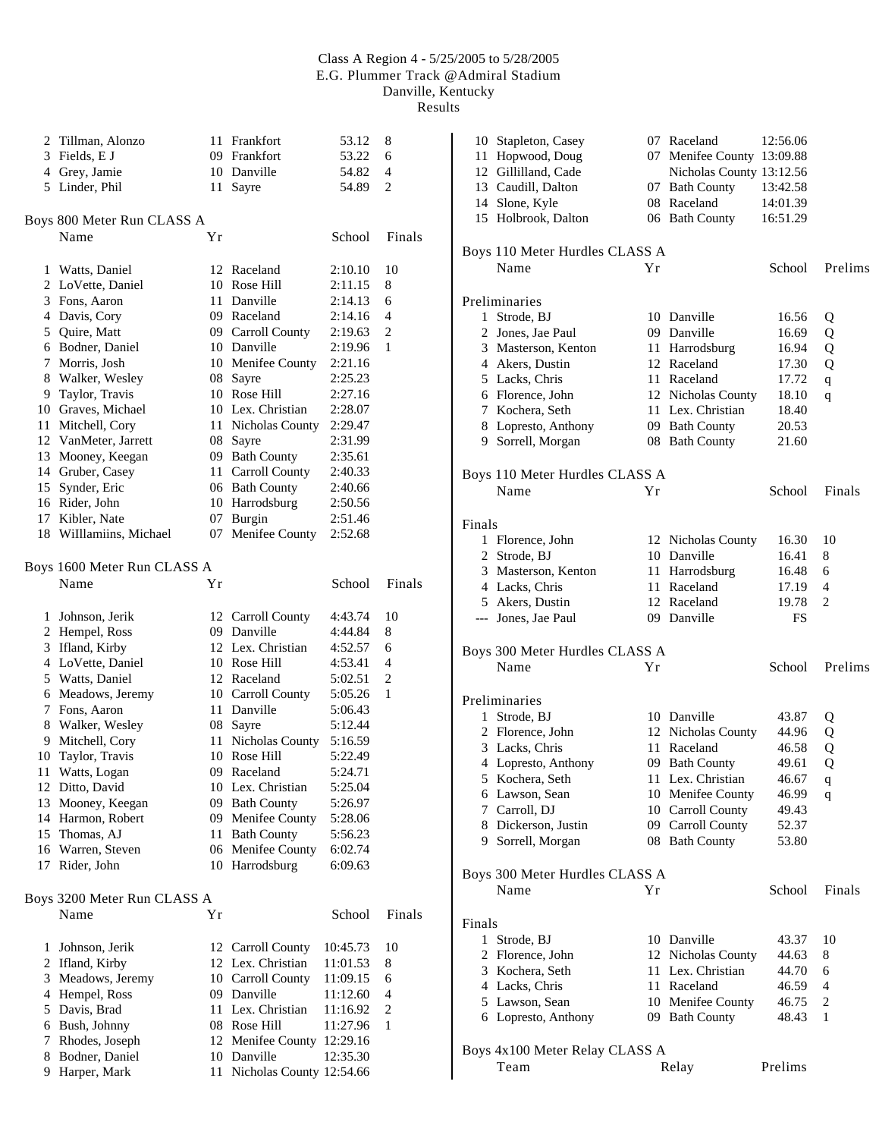|                | 2 Tillman, Alonzo           |    | 11 Frankfort             | 53.12    | 8              |
|----------------|-----------------------------|----|--------------------------|----------|----------------|
|                | 3 Fields, E J               |    | 09 Frankfort             | 53.22    | 6              |
|                | 4 Grey, Jamie               |    | 10 Danville              | 54.82    | 4              |
|                | 5 Linder, Phil              | 11 | Sayre                    | 54.89    | 2              |
|                | Boys 800 Meter Run CLASS A  |    |                          |          |                |
|                | Name                        | Υr |                          | School   | Finals         |
|                |                             |    |                          |          |                |
| 1              | Watts, Daniel               |    | 12 Raceland              | 2:10.10  | 10             |
|                | 2 LoVette, Daniel           |    | 10 Rose Hill             | 2:11.15  | 8              |
|                | 3 Fons, Aaron               |    | 11 Danville              | 2:14.13  | 6              |
|                | 4 Davis, Cory               |    | 09 Raceland              | 2:14.16  | 4              |
|                | 5 Quire, Matt               |    | 09 Carroll County        | 2:19.63  | 2              |
|                | 6 Bodner, Daniel            |    | 10 Danville              | 2:19.96  | 1              |
|                | 7 Morris, Josh              |    | 10 Menifee County        | 2:21.16  |                |
| 8              | Walker, Wesley              |    | 08 Sayre                 | 2:25.23  |                |
|                | 9 Taylor, Travis            |    | 10 Rose Hill             | 2:27.16  |                |
|                | 10 Graves, Michael          |    | 10 Lex. Christian        | 2:28.07  |                |
| 11             | Mitchell, Cory              |    | 11 Nicholas County       | 2:29.47  |                |
|                | 12 VanMeter, Jarrett        |    | 08 Sayre                 | 2:31.99  |                |
| 13             | Mooney, Keegan              |    | 09 Bath County           | 2:35.61  |                |
|                | 14 Gruber, Casey            |    | 11 Carroll County        | 2:40.33  |                |
|                | 15 Synder, Eric             |    | 06 Bath County           | 2:40.66  |                |
|                | 16 Rider, John              |    | 10 Harrodsburg           | 2:50.56  |                |
|                | 17 Kibler, Nate             |    | 07 Burgin                | 2:51.46  |                |
|                | 18 Willlamiins, Michael     | 07 | Menifee County           | 2:52.68  |                |
|                | Boys 1600 Meter Run CLASS A |    |                          |          |                |
|                | Name                        | Υr |                          | School   | Finals         |
|                |                             |    |                          |          |                |
| 1              | Johnson, Jerik              |    | 12 Carroll County        | 4:43.74  | 10             |
|                | 2 Hempel, Ross              |    | 09 Danville              | 4:44.84  | 8              |
|                | 3 Ifland, Kirby             |    | 12 Lex. Christian        | 4:52.57  | 6              |
|                | 4 LoVette, Daniel           |    | 10 Rose Hill             | 4:53.41  | 4              |
|                | 5 Watts, Daniel             |    | 12 Raceland              | 5:02.51  | 2              |
|                | 6 Meadows, Jeremy           |    | 10 Carroll County        | 5:05.26  | 1              |
|                | 7 Fons, Aaron               |    | 11 Danville              | 5:06.43  |                |
| 8              | Walker, Wesley              |    | 08 Sayre                 | 5:12.44  |                |
| 9              | Mitchell, Cory              | 11 | Nicholas County          | 5:16.59  |                |
| 10             | Taylor, Travis              |    | 10 Rose Hill             | 5:22.49  |                |
| 11             | Watts, Logan                |    | 09 Raceland              | 5:24.71  |                |
|                | 12 Ditto, David             |    | 10 Lex. Christian        | 5:25.04  |                |
| 13             | Mooney, Keegan              |    | 09 Bath County           | 5:26.97  |                |
| 14             | Harmon, Robert              |    | 09 Menifee County        | 5:28.06  |                |
| 15             | Thomas, AJ                  | 11 | <b>Bath County</b>       | 5:56.23  |                |
| 16             | Warren, Steven              |    | 06 Menifee County        | 6:02.74  |                |
| 17             | Rider, John                 |    | 10 Harrodsburg           | 6:09.63  |                |
|                | Boys 3200 Meter Run CLASS A |    |                          |          |                |
|                | Name                        | Υr |                          | School   | Finals         |
|                |                             |    |                          |          |                |
| 1              | Johnson, Jerik              |    | 12 Carroll County        | 10:45.73 | 10             |
| $\overline{c}$ | Ifland, Kirby               |    | 12 Lex. Christian        | 11:01.53 | 8              |
| 3              | Meadows, Jeremy             |    | 10 Carroll County        | 11:09.15 | 6              |
| $\overline{4}$ | Hempel, Ross                |    | 09 Danville              | 11:12.60 | 4              |
| 5              | Davis, Brad                 |    | 11 Lex. Christian        | 11:16.92 | $\overline{c}$ |
| 6              | Bush, Johnny                |    | 08 Rose Hill             | 11:27.96 | 1              |
| 7              | Rhodes, Joseph              |    | 12 Menifee County        | 12:29.16 |                |
| 8              | Bodner, Daniel              |    | 10 Danville              | 12:35.30 |                |
| 9              | Harper, Mark                | 11 | Nicholas County 12:54.66 |          |                |

| 10 Stapleton, Casey<br>Hopwood, Doug<br>11<br>12 Gillilland, Cade<br>13 Caudill, Dalton<br>14 Slone, Kyle<br>15 Holbrook, Dalton |    | 07 Raceland<br>07 Menifee County 13:09.88<br>Nicholas County 13:12.56<br>07 Bath County<br>08 Raceland<br>06 Bath County | 12:56.06<br>13:42.58<br>14:01.39<br>16:51.29 |                |
|----------------------------------------------------------------------------------------------------------------------------------|----|--------------------------------------------------------------------------------------------------------------------------|----------------------------------------------|----------------|
| Boys 110 Meter Hurdles CLASS A<br>Name                                                                                           | Υr |                                                                                                                          | School                                       | Prelims        |
|                                                                                                                                  |    |                                                                                                                          |                                              |                |
| Preliminaries<br>1 Strode, BJ                                                                                                    |    | 10 Danville                                                                                                              | 16.56                                        |                |
| 2 Jones, Jae Paul                                                                                                                |    | 09 Danville                                                                                                              | 16.69                                        | Q<br>Q         |
| 3 Masterson, Kenton                                                                                                              | 11 | Harrodsburg                                                                                                              | 16.94                                        | Q              |
| 4 Akers, Dustin                                                                                                                  |    | 12 Raceland                                                                                                              | 17.30                                        | Q              |
| 5 Lacks, Chris                                                                                                                   |    | 11 Raceland                                                                                                              | 17.72                                        | q              |
| 6 Florence, John                                                                                                                 |    | 12 Nicholas County                                                                                                       | 18.10                                        | q              |
| 7 Kochera, Seth                                                                                                                  |    | 11 Lex. Christian                                                                                                        | 18.40                                        |                |
| 8 Lopresto, Anthony                                                                                                              |    | 09 Bath County                                                                                                           | 20.53                                        |                |
| 9 Sorrell, Morgan                                                                                                                |    | 08 Bath County                                                                                                           | 21.60                                        |                |
|                                                                                                                                  |    |                                                                                                                          |                                              |                |
| Boys 110 Meter Hurdles CLASS A                                                                                                   |    |                                                                                                                          |                                              |                |
| Name                                                                                                                             | Υr |                                                                                                                          | School                                       | Finals         |
| Finals                                                                                                                           |    |                                                                                                                          |                                              |                |
| 1 Florence, John                                                                                                                 |    | 12 Nicholas County                                                                                                       | 16.30                                        | 10             |
| 2 Strode, BJ                                                                                                                     |    | 10 Danville                                                                                                              | 16.41                                        | 8              |
| 3 Masterson, Kenton                                                                                                              | 11 | Harrodsburg                                                                                                              | 16.48                                        | 6              |
| 4 Lacks, Chris                                                                                                                   | 11 | Raceland                                                                                                                 | 17.19                                        | 4              |
| 5 Akers, Dustin                                                                                                                  |    | 12 Raceland                                                                                                              | 19.78                                        | $\overline{c}$ |
| --- Jones, Jae Paul                                                                                                              |    | 09 Danville                                                                                                              | FS                                           |                |
|                                                                                                                                  |    |                                                                                                                          |                                              |                |
| Boys 300 Meter Hurdles CLASS A                                                                                                   |    |                                                                                                                          |                                              |                |
| Name                                                                                                                             | Υr |                                                                                                                          | School                                       | Prelims        |
| Preliminaries                                                                                                                    |    |                                                                                                                          |                                              |                |
| 1 Strode, BJ                                                                                                                     |    | 10 Danville                                                                                                              | 43.87                                        | Q              |
| 2 Florence, John                                                                                                                 |    | 12 Nicholas County                                                                                                       | 44.96                                        | Q              |
| 3 Lacks, Chris                                                                                                                   |    | 11 Raceland                                                                                                              | 46.58                                        | Q              |
| 4 Lopresto, Anthony                                                                                                              |    | 09 Bath County                                                                                                           | 49.61                                        | Q              |
| 5 Kochera, Seth                                                                                                                  | 11 | Lex. Christian                                                                                                           | 46.67                                        | q              |
| 6 Lawson, Sean                                                                                                                   | 10 | Menifee County                                                                                                           | 46.99                                        | q              |
| 7 Carroll, DJ                                                                                                                    |    | 10 Carroll County                                                                                                        | 49.43                                        |                |
| 8 Dickerson, Justin                                                                                                              |    | 09 Carroll County                                                                                                        | 52.37                                        |                |
| 9 Sorrell, Morgan                                                                                                                |    | 08 Bath County                                                                                                           | 53.80                                        |                |
|                                                                                                                                  |    |                                                                                                                          |                                              |                |
| Boys 300 Meter Hurdles CLASS A<br>Name                                                                                           |    |                                                                                                                          |                                              |                |
|                                                                                                                                  |    |                                                                                                                          |                                              |                |
|                                                                                                                                  | Υr |                                                                                                                          | School                                       | Finals         |
|                                                                                                                                  |    |                                                                                                                          |                                              |                |
| Finals<br>1 Strode, BJ                                                                                                           |    | 10 Danville                                                                                                              | 43.37                                        | 10             |
| 2 Florence, John                                                                                                                 |    | 12 Nicholas County                                                                                                       | 44.63                                        | 8              |
| 3 Kochera, Seth                                                                                                                  |    | 11 Lex. Christian                                                                                                        | 44.70                                        | 6              |
| 4 Lacks, Chris                                                                                                                   |    | 11 Raceland                                                                                                              | 46.59                                        | 4              |
| 5 Lawson, Sean                                                                                                                   |    | 10 Menifee County                                                                                                        | 46.75                                        | 2              |
| 6 Lopresto, Anthony                                                                                                              |    | 09 Bath County                                                                                                           | 48.43                                        | 1              |
|                                                                                                                                  |    |                                                                                                                          |                                              |                |
| Boys 4x100 Meter Relay CLASS A<br>Team                                                                                           |    | Relay                                                                                                                    | Prelims                                      |                |